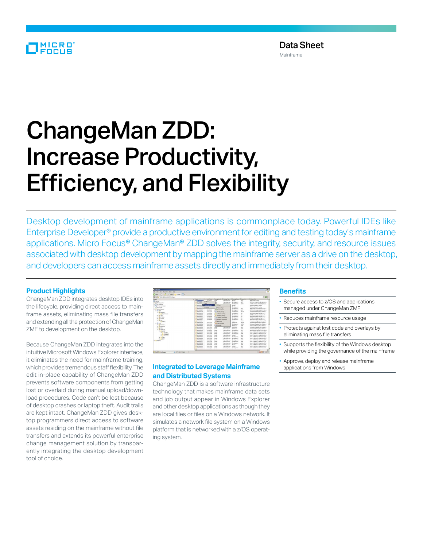## MICRO

# ChangeMan ZDD: Increase Productivity, Efficiency, and Flexibility

Desktop development of mainframe applications is commonplace today. Powerful IDEs like Enterprise Developer® provide a productive environment for editing and testing today's mainframe applications. Micro Focus® ChangeMan® ZDD solves the integrity, security, and resource issues associated with desktop development by mapping the mainframe server as a drive on the desktop, and developers can access mainframe assets directly and immediately from their desktop.

#### **Product Highlights**

ChangeMan ZDD integrates desktop IDEs into the lifecycle, providing direct access to mainframe assets, eliminating mass file transfers and extending all the protection of ChangeMan ZMF to development on the desktop.

Because ChangeMan ZDD integrates into the intuitive Microsoft Windows Explorer interface, it eliminates the need for mainframe training, which provides tremendous staff flexibility. The edit in-place capability of ChangeMan ZDD prevents software components from getting lost or overlaid during manual upload/download procedures. Code can't be lost because of desktop crashes or laptop theft. Audit trails are kept intact. ChangeMan ZDD gives desktop programmers direct access to software assets residing on the mainframe without file transfers and extends its powerful enterprise change management solution by transparently integrating the desktop development tool of choice.



### **Integrated to Leverage Mainframe and Distributed Systems**

ChangeMan ZDD is a software infrastructure technology that makes mainframe data sets and job output appear in Windows Explorer and other desktop applications as though they are local files or files on a Windows network. It simulates a network file system on a Windows platform that is networked with a z/OS operating system.

#### **Benefits**

- Secure access to z/OS and applications managed under ChangeMan ZMF
- Reduces mainframe resource usage
- Protects against lost code and overlays by eliminating mass file transfers
- Supports the flexibility of the Windows desktop while providing the governance of the mainframe
- Approve, deploy and release mainframe applications from Windows